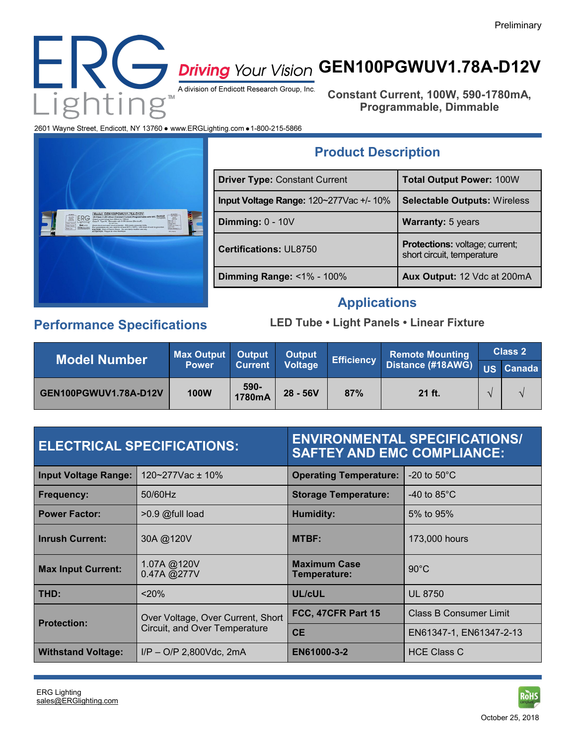

# **GEN100PGWUV1.78A-D12V**

**Constant Current, 100W, 590-1780mA, Programmable, Dimmable**

2601 Wayne Street, Endicott, NY 13760 · www.ERGLighting.com · 1-800-215-5866



| <b>Driver Type: Constant Current</b>    | <b>Total Output Power: 100W</b>                              |  |
|-----------------------------------------|--------------------------------------------------------------|--|
| Input Voltage Range: 120~277Vac +/- 10% | <b>Selectable Outputs: Wireless</b>                          |  |
| Dimming: $0 - 10V$                      | <b>Warranty:</b> 5 years                                     |  |
| <b>Certifications: UL8750</b>           | Protections: voltage; current;<br>short circuit, temperature |  |
| Dimming Range: <1% - 100%               | Aux Output: 12 Vdc at 200mA                                  |  |

**Product Description**

# **Applications**

# **Performance Specifications**

### **LED Tube • Light Panels • Linear Fixture**

| <b>Model Number</b>   | <b>Max Output</b><br><b>Power</b> | <b>Output</b><br><b>Current</b> | <b>Output</b><br><b>Voltage</b> | Efficiency | <b>Remote Mounting</b><br>Distance (#18AWG) US Canada | <b>Class 2</b> |  |
|-----------------------|-----------------------------------|---------------------------------|---------------------------------|------------|-------------------------------------------------------|----------------|--|
|                       |                                   |                                 |                                 |            |                                                       |                |  |
| GEN100PGWUV1.78A-D12V | <b>100W</b>                       | 590-<br>1780mA                  | $28 - 56V$                      | 87%        | 21 ft.                                                |                |  |

| <b>ELECTRICAL SPECIFICATIONS:</b> |                                                                    | <b>ENVIRONMENTAL SPECIFICATIONS/</b><br><b>SAFTEY AND EMC COMPLIANCE:</b> |                         |  |  |
|-----------------------------------|--------------------------------------------------------------------|---------------------------------------------------------------------------|-------------------------|--|--|
| <b>Input Voltage Range:</b>       | 120~277Vac ± 10%                                                   | <b>Operating Temperature:</b>                                             | -20 to $50^{\circ}$ C   |  |  |
| <b>Frequency:</b>                 | 50/60Hz                                                            | <b>Storage Temperature:</b>                                               | -40 to $85^{\circ}$ C   |  |  |
| <b>Power Factor:</b>              | $>0.9$ @full load                                                  | <b>Humidity:</b>                                                          | 5% to 95%               |  |  |
| <b>Inrush Current:</b>            | 30A @120V                                                          | <b>MTBF:</b>                                                              | 173,000 hours           |  |  |
| <b>Max Input Current:</b>         | 1.07A @120V<br>0.47A @277V                                         | <b>Maximum Case</b><br>Temperature:                                       | $90^{\circ}$ C          |  |  |
| THD:                              | < 20%                                                              | UL/cUL                                                                    | <b>UL 8750</b>          |  |  |
| <b>Protection:</b>                | Over Voltage, Over Current, Short<br>Circuit, and Over Temperature | FCC, 47CFR Part 15                                                        | Class B Consumer Limit  |  |  |
|                                   |                                                                    | <b>CE</b>                                                                 | EN61347-1, EN61347-2-13 |  |  |
| <b>Withstand Voltage:</b>         | $I/P - O/P$ 2.800Vdc. 2mA                                          | EN61000-3-2                                                               | <b>HCE Class C</b>      |  |  |